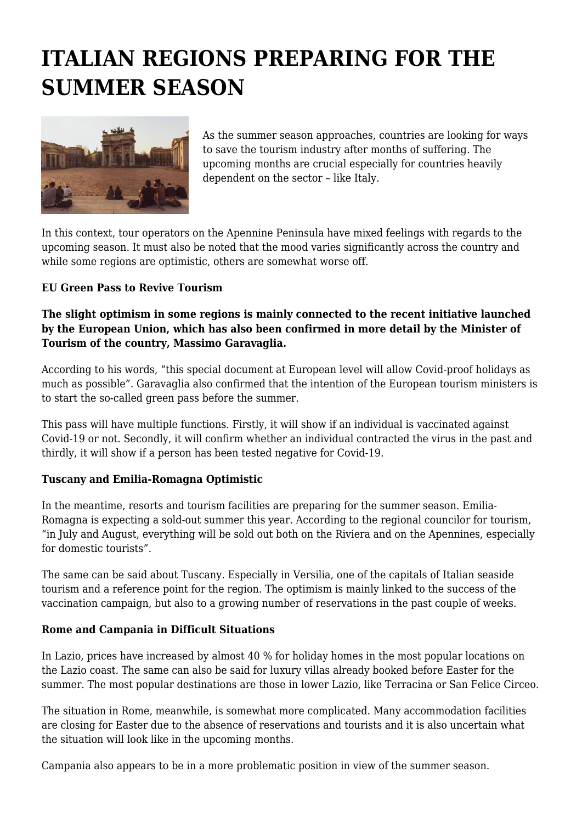# **ITALIAN REGIONS PREPARING FOR THE SUMMER SEASON**



As the summer season approaches, countries are looking for ways to save the tourism industry after months of suffering. The upcoming months are crucial especially for countries heavily dependent on the sector – like Italy.

In this context, tour operators on the Apennine Peninsula have mixed feelings with regards to the upcoming season. It must also be noted that the mood varies significantly across the country and while some regions are optimistic, others are somewhat worse off.

### **EU Green Pass to Revive Tourism**

### **The slight optimism in some regions is mainly connected to the recent initiative launched by the European Union, which has also been confirmed in more detail by the Minister of Tourism of the country, Massimo Garavaglia.**

According to his words, "this special document at European level will allow Covid-proof holidays as much as possible". Garavaglia also confirmed that the intention of the European tourism ministers is to start the so-called green pass before the summer.

This pass will have multiple functions. Firstly, it will show if an individual is vaccinated against Covid-19 or not. Secondly, it will confirm whether an individual contracted the virus in the past and thirdly, it will show if a person has been tested negative for Covid-19.

## **Tuscany and Emilia-Romagna Optimistic**

In the meantime, resorts and tourism facilities are preparing for the summer season. Emilia-Romagna is expecting a sold-out summer this year. According to the regional councilor for tourism, "in July and August, everything will be sold out both on the Riviera and on the Apennines, especially for domestic tourists".

The same can be said about Tuscany. Especially in Versilia, one of the capitals of Italian seaside tourism and a reference point for the region. The optimism is mainly linked to the success of the vaccination campaign, but also to a growing number of reservations in the past couple of weeks.

#### **Rome and Campania in Difficult Situations**

In Lazio, prices have increased by almost 40 % for holiday homes in the most popular locations on the Lazio coast. The same can also be said for luxury villas already booked before Easter for the summer. The most popular destinations are those in lower Lazio, like Terracina or San Felice Circeo.

The situation in Rome, meanwhile, is somewhat more complicated. Many accommodation facilities are closing for Easter due to the absence of reservations and tourists and it is also uncertain what the situation will look like in the upcoming months.

Campania also appears to be in a more problematic position in view of the summer season.